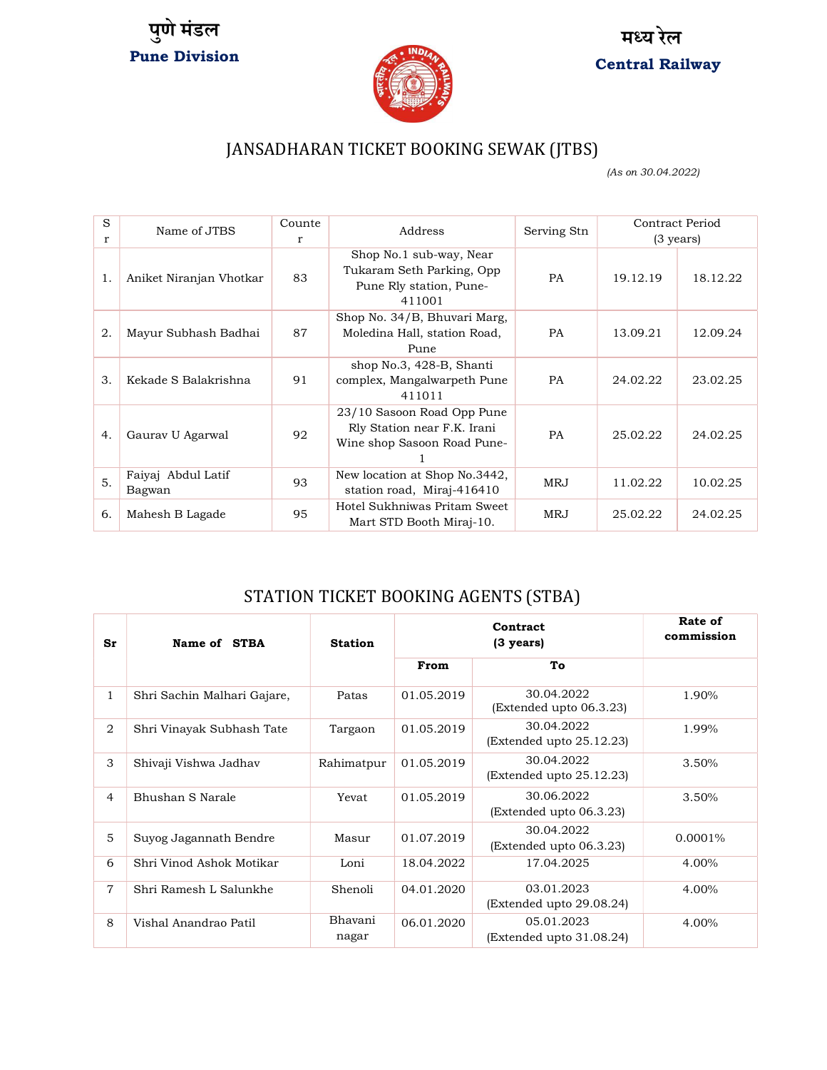





### JANSADHARAN TICKET BOOKING SEWAK (JTBS)

(As on 30.04.2022)

| S<br>r | Name of JTBS                 | Counte<br>r | Address                                                                                   | Serving Stn | Contract Period<br>$(3 \text{ years})$ |          |
|--------|------------------------------|-------------|-------------------------------------------------------------------------------------------|-------------|----------------------------------------|----------|
| 1.     | Aniket Niranjan Vhotkar      | 83          | Shop No.1 sub-way, Near<br>Tukaram Seth Parking, Opp<br>Pune Rly station, Pune-<br>411001 | <b>PA</b>   | 19.12.19                               | 18.12.22 |
| 2.     | Mayur Subhash Badhai         | 87          | Shop No. 34/B, Bhuvari Marg,<br>Moledina Hall, station Road,<br>Pune                      | <b>PA</b>   | 13.09.21                               | 12.09.24 |
| 3.     | Kekade S Balakrishna         | 91          | shop No.3, 428-B, Shanti<br>complex, Mangalwarpeth Pune<br>411011                         | <b>PA</b>   | 24.02.22                               | 23.02.25 |
| 4.     | Gaurav U Agarwal             | 92          | 23/10 Sasoon Road Opp Pune<br>Rly Station near F.K. Irani<br>Wine shop Sasoon Road Pune-  | <b>PA</b>   | 25.02.22                               | 24.02.25 |
| 5.     | Faiyaj Abdul Latif<br>Bagwan | 93          | New location at Shop No.3442,<br>station road, Miraj-416410                               | <b>MRJ</b>  | 11.02.22                               | 10.02.25 |
| 6.     | Mahesh B Lagade              | 95          | Hotel Sukhniwas Pritam Sweet<br>Mart STD Booth Miraj-10.                                  | <b>MRJ</b>  | 25.02.22                               | 24.02.25 |

#### STATION TICKET BOOKING AGENTS (STBA)

| Sr             | Name of STBA                | <b>Station</b>   | Contract<br>$(3 \text{ years})$ |                                        | Rate of<br>commission |
|----------------|-----------------------------|------------------|---------------------------------|----------------------------------------|-----------------------|
|                |                             |                  | From                            | To                                     |                       |
| $\mathbf{1}$   | Shri Sachin Malhari Gajare, | Patas            | 01.05.2019                      | 30.04.2022<br>(Extended upto 06.3.23)  | 1.90%                 |
| $\overline{2}$ | Shri Vinayak Subhash Tate   | Targaon          | 01.05.2019                      | 30.04.2022<br>(Extended upto 25.12.23) | 1.99%                 |
| 3              | Shivaji Vishwa Jadhav       | Rahimatpur       | 01.05.2019                      | 30.04.2022<br>(Extended upto 25.12.23) | 3.50%                 |
| $\overline{4}$ | Bhushan S Narale            | Yevat            | 01.05.2019                      | 30.06.2022<br>(Extended upto 06.3.23)  | 3.50%                 |
| 5              | Suyog Jagannath Bendre      | Masur            | 01.07.2019                      | 30.04.2022<br>(Extended upto 06.3.23)  | 0.0001%               |
| 6              | Shri Vinod Ashok Motikar    | Loni             | 18.04.2022                      | 17.04.2025                             | 4.00%                 |
| 7              | Shri Ramesh L Salunkhe      | Shenoli          | 04.01.2020                      | 03.01.2023<br>(Extended upto 29.08.24) | 4.00%                 |
| 8              | Vishal Anandrao Patil       | Bhavani<br>nagar | 06.01.2020                      | 05.01.2023<br>(Extended upto 31.08.24) | 4.00%                 |